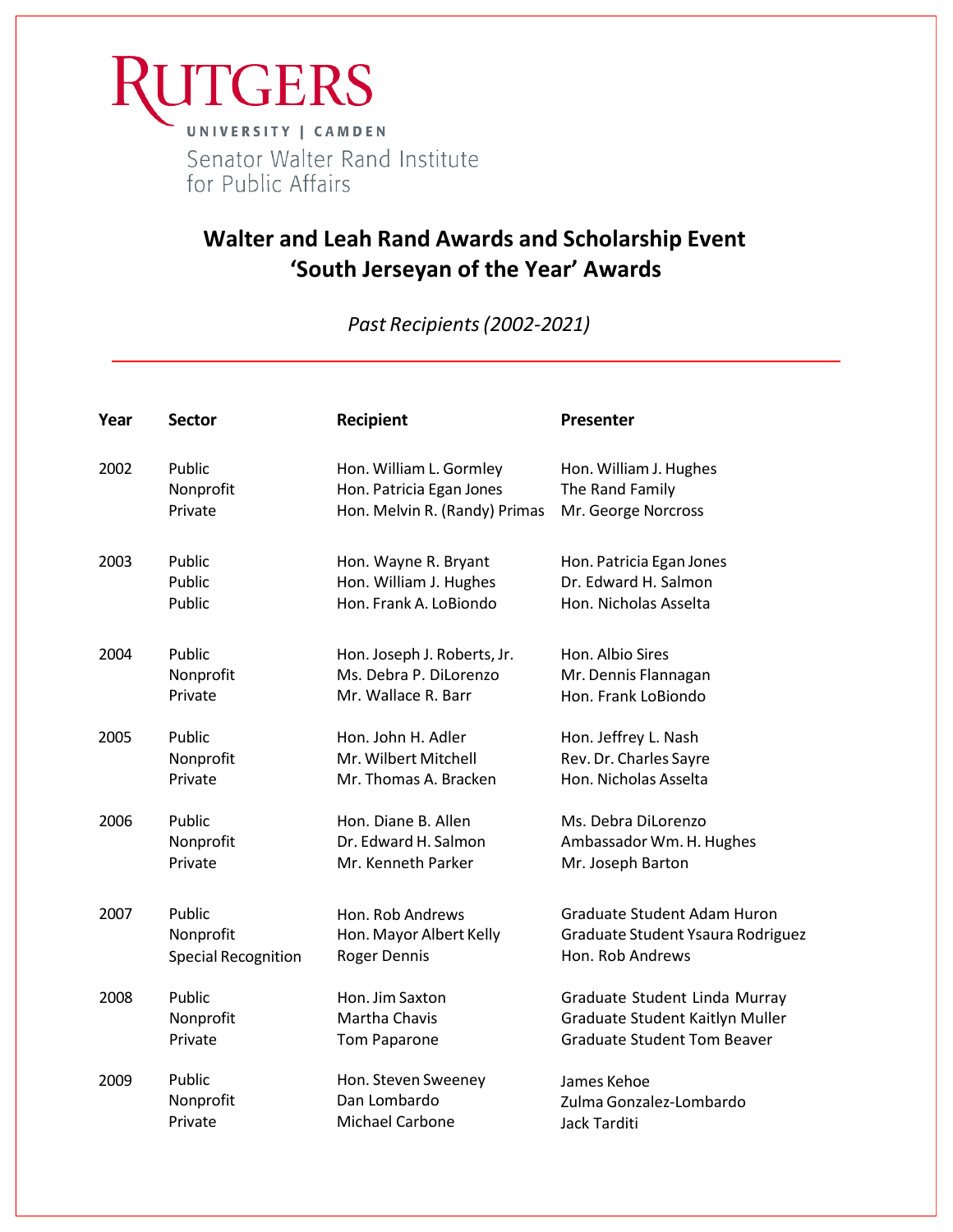

## **Walter and Leah Rand Awards and Scholarship Event 'South Jerseyan of the Year' Awards**

*Past Recipients(2002-2021)*

| Year | <b>Sector</b>              | <b>Recipient</b>              | <b>Presenter</b>                   |
|------|----------------------------|-------------------------------|------------------------------------|
| 2002 | Public                     | Hon. William L. Gormley       | Hon. William J. Hughes             |
|      | Nonprofit                  | Hon. Patricia Egan Jones      | The Rand Family                    |
|      | Private                    | Hon. Melvin R. (Randy) Primas | Mr. George Norcross                |
| 2003 | Public                     | Hon. Wayne R. Bryant          | Hon. Patricia Egan Jones           |
|      | Public                     | Hon. William J. Hughes        | Dr. Edward H. Salmon               |
|      | Public                     | Hon. Frank A. LoBiondo        | Hon. Nicholas Asselta              |
| 2004 | Public                     | Hon. Joseph J. Roberts, Jr.   | Hon. Albio Sires                   |
|      | Nonprofit                  | Ms. Debra P. DiLorenzo        | Mr. Dennis Flannagan               |
|      | Private                    | Mr. Wallace R. Barr           | Hon. Frank LoBiondo                |
| 2005 | Public                     | Hon. John H. Adler            | Hon. Jeffrey L. Nash               |
|      | Nonprofit                  | Mr. Wilbert Mitchell          | Rev. Dr. Charles Sayre             |
|      | Private                    | Mr. Thomas A. Bracken         | Hon. Nicholas Asselta              |
| 2006 | Public                     | Hon. Diane B. Allen           | Ms. Debra DiLorenzo                |
|      | Nonprofit                  | Dr. Edward H. Salmon          | Ambassador Wm. H. Hughes           |
|      | Private                    | Mr. Kenneth Parker            | Mr. Joseph Barton                  |
| 2007 | Public                     | Hon. Rob Andrews              | Graduate Student Adam Huron        |
|      | Nonprofit                  | Hon. Mayor Albert Kelly       | Graduate Student Ysaura Rodriguez  |
|      | <b>Special Recognition</b> | <b>Roger Dennis</b>           | Hon. Rob Andrews                   |
| 2008 | Public                     | Hon. Jim Saxton               | Graduate Student Linda Murray      |
|      | Nonprofit                  | Martha Chavis                 | Graduate Student Kaitlyn Muller    |
|      | Private                    | <b>Tom Paparone</b>           | <b>Graduate Student Tom Beaver</b> |
| 2009 | Public                     | Hon. Steven Sweeney           | James Kehoe                        |
|      | Nonprofit                  | Dan Lombardo                  | Zulma Gonzalez-Lombardo            |
|      | Private                    | <b>Michael Carbone</b>        | Jack Tarditi                       |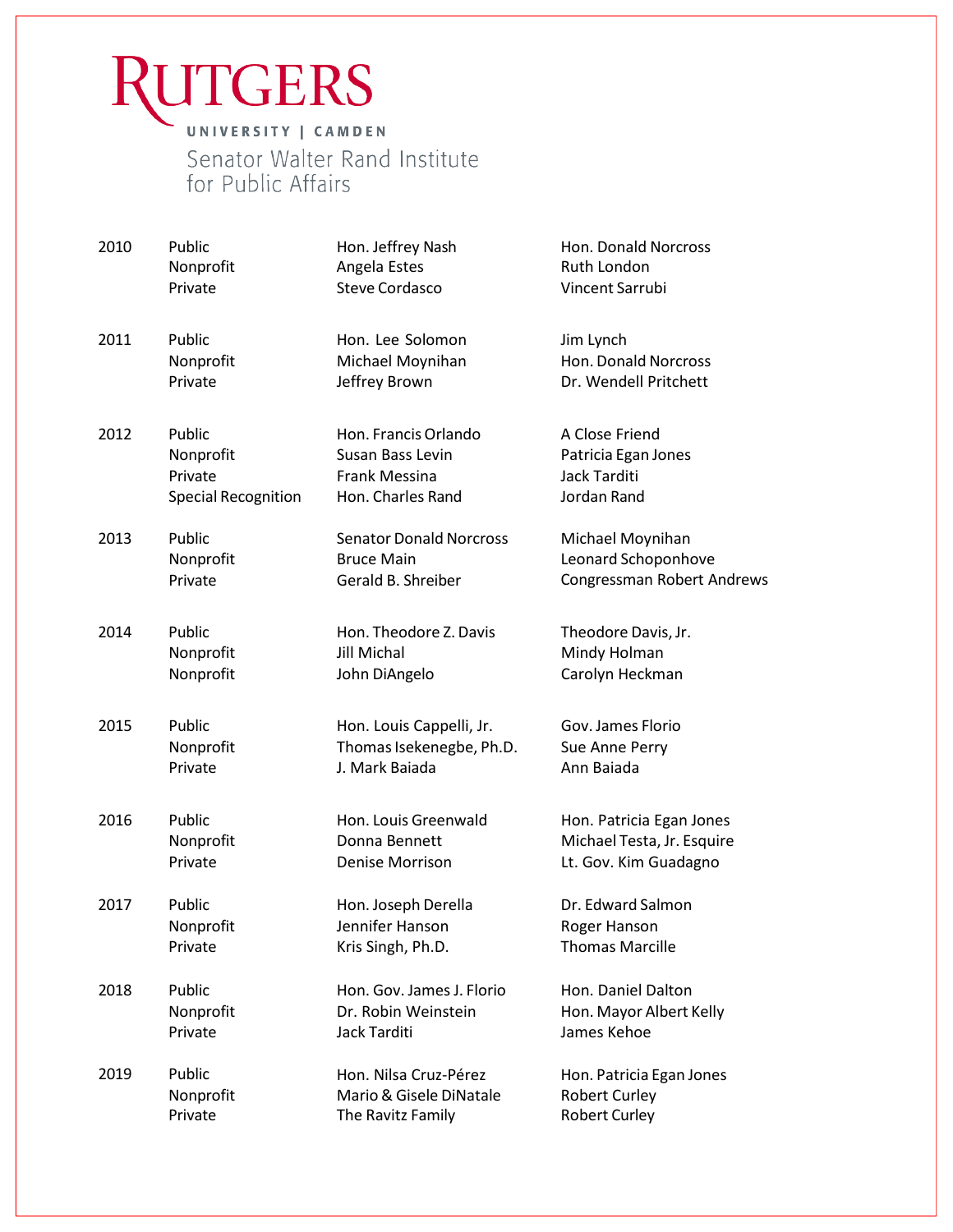## **JTGERS** UNIVERSITY | CAMDEN Senator Walter Rand Institute for Public Affairs

2010 Public Nonprofit Private Hon. Jeffrey Nash Angela Estes Steve Cordasco Hon. Donald Norcross Ruth London Vincent Sarrubi 2011 Public Nonprofit Private Hon. Lee Solomon Michael Moynihan Jeffrey Brown Jim Lynch Hon. Donald Norcross Dr. Wendell Pritchett 2012 Public Nonprofit Private Special Recognition Hon. Francis Orlando Susan Bass Levin Frank Messina Hon. Charles Rand A Close Friend Patricia Egan Jones Jack Tarditi Jordan Rand 2013 Public Nonprofit Private Senator Donald Norcross Bruce Main Gerald B. Shreiber Michael Moynihan Leonard Schoponhove Congressman Robert Andrews 2014 Public Nonprofit Nonprofit Hon. Theodore Z.Davis Jill Michal John DiAngelo Theodore Davis, Jr. Mindy Holman Carolyn Heckman 2015 Public **Nonprofit** Private Hon. Louis Cappelli, Jr. Thomas Isekenegbe, Ph.D. J. Mark Baiada Gov. James Florio Sue Anne Perry Ann Baiada 2016 Public Nonprofit Private Hon. Louis Greenwald Donna Bennett Denise Morrison Hon. Patricia Egan Jones Michael Testa, Jr. Esquire Lt. Gov. Kim Guadagno 2017 Public Nonprofit Private Hon. Joseph Derella Jennifer Hanson Kris Singh, Ph.D. Dr. Edward Salmon Roger Hanson Thomas Marcille 2018 Public Nonprofit Private Hon. Gov. James J. Florio Dr. Robin Weinstein Jack Tarditi Hon. Daniel Dalton Hon. Mayor Albert Kelly James Kehoe 2019 Public Nonprofit Private Hon. Nilsa Cruz-Pérez Mario& Gisele DiNatale The Ravitz Family Hon. Patricia Egan Jones Robert Curley Robert Curley